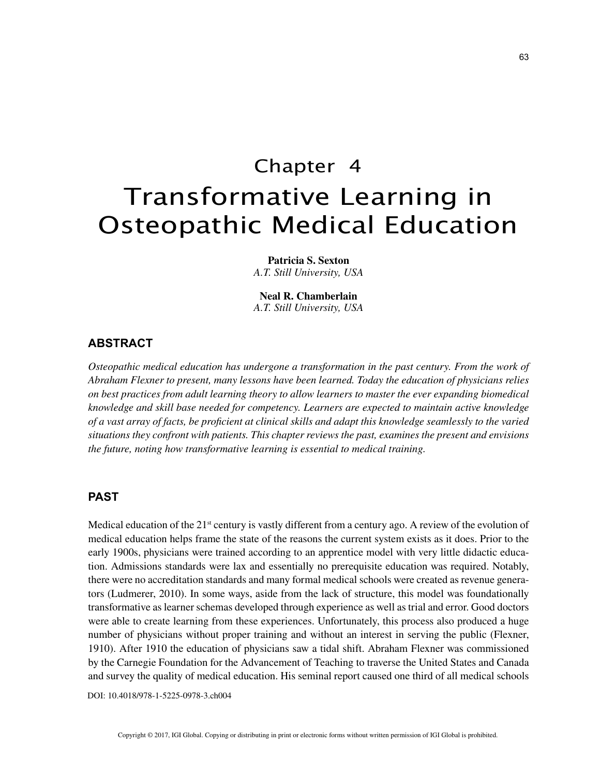# Chapter 4 Transformative Learning in Osteopathic Medical Education

**Patricia S. Sexton** *A.T. Still University, USA*

**Neal R. Chamberlain** *A.T. Still University, USA*

### **ABSTRACT**

*Osteopathic medical education has undergone a transformation in the past century. From the work of Abraham Flexner to present, many lessons have been learned. Today the education of physicians relies on best practices from adult learning theory to allow learners to master the ever expanding biomedical knowledge and skill base needed for competency. Learners are expected to maintain active knowledge of a vast array of facts, be proficient at clinical skills and adapt this knowledge seamlessly to the varied situations they confront with patients. This chapter reviews the past, examines the present and envisions the future, noting how transformative learning is essential to medical training.*

## **PAST**

Medical education of the  $21<sup>st</sup>$  century is vastly different from a century ago. A review of the evolution of medical education helps frame the state of the reasons the current system exists as it does. Prior to the early 1900s, physicians were trained according to an apprentice model with very little didactic education. Admissions standards were lax and essentially no prerequisite education was required. Notably, there were no accreditation standards and many formal medical schools were created as revenue generators (Ludmerer, 2010). In some ways, aside from the lack of structure, this model was foundationally transformative as learner schemas developed through experience as well as trial and error. Good doctors were able to create learning from these experiences. Unfortunately, this process also produced a huge number of physicians without proper training and without an interest in serving the public (Flexner, 1910). After 1910 the education of physicians saw a tidal shift. Abraham Flexner was commissioned by the Carnegie Foundation for the Advancement of Teaching to traverse the United States and Canada and survey the quality of medical education. His seminal report caused one third of all medical schools

DOI: 10.4018/978-1-5225-0978-3.ch004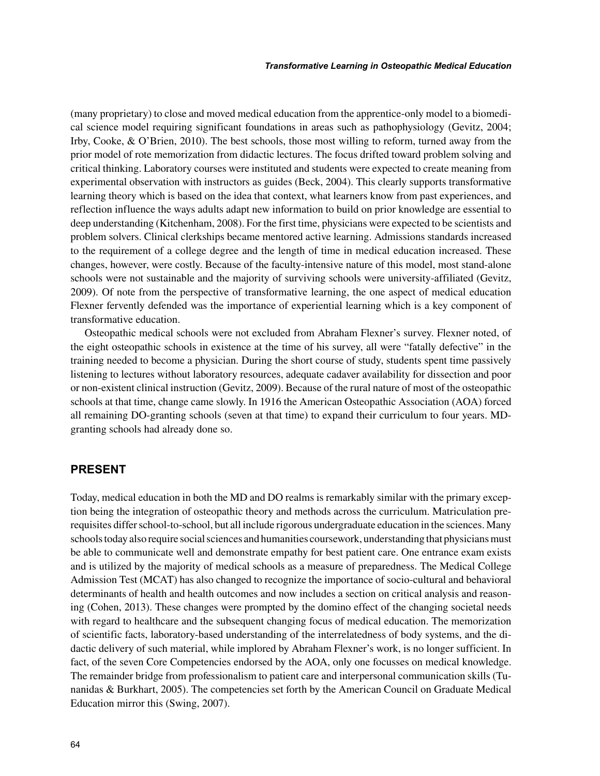(many proprietary) to close and moved medical education from the apprentice-only model to a biomedical science model requiring significant foundations in areas such as pathophysiology (Gevitz, 2004; Irby, Cooke, & O'Brien, 2010). The best schools, those most willing to reform, turned away from the prior model of rote memorization from didactic lectures. The focus drifted toward problem solving and critical thinking. Laboratory courses were instituted and students were expected to create meaning from experimental observation with instructors as guides (Beck, 2004). This clearly supports transformative learning theory which is based on the idea that context, what learners know from past experiences, and reflection influence the ways adults adapt new information to build on prior knowledge are essential to deep understanding (Kitchenham, 2008). For the first time, physicians were expected to be scientists and problem solvers. Clinical clerkships became mentored active learning. Admissions standards increased to the requirement of a college degree and the length of time in medical education increased. These changes, however, were costly. Because of the faculty-intensive nature of this model, most stand-alone schools were not sustainable and the majority of surviving schools were university-affiliated (Gevitz, 2009). Of note from the perspective of transformative learning, the one aspect of medical education Flexner fervently defended was the importance of experiential learning which is a key component of transformative education.

Osteopathic medical schools were not excluded from Abraham Flexner's survey. Flexner noted, of the eight osteopathic schools in existence at the time of his survey, all were "fatally defective" in the training needed to become a physician. During the short course of study, students spent time passively listening to lectures without laboratory resources, adequate cadaver availability for dissection and poor or non-existent clinical instruction (Gevitz, 2009). Because of the rural nature of most of the osteopathic schools at that time, change came slowly. In 1916 the American Osteopathic Association (AOA) forced all remaining DO-granting schools (seven at that time) to expand their curriculum to four years. MDgranting schools had already done so.

# **PRESENT**

Today, medical education in both the MD and DO realms is remarkably similar with the primary exception being the integration of osteopathic theory and methods across the curriculum. Matriculation prerequisites differ school-to-school, but all include rigorous undergraduate education in the sciences. Many schools today also require social sciences and humanities coursework, understanding that physicians must be able to communicate well and demonstrate empathy for best patient care. One entrance exam exists and is utilized by the majority of medical schools as a measure of preparedness. The Medical College Admission Test (MCAT) has also changed to recognize the importance of socio-cultural and behavioral determinants of health and health outcomes and now includes a section on critical analysis and reasoning (Cohen, 2013). These changes were prompted by the domino effect of the changing societal needs with regard to healthcare and the subsequent changing focus of medical education. The memorization of scientific facts, laboratory-based understanding of the interrelatedness of body systems, and the didactic delivery of such material, while implored by Abraham Flexner's work, is no longer sufficient. In fact, of the seven Core Competencies endorsed by the AOA, only one focusses on medical knowledge. The remainder bridge from professionalism to patient care and interpersonal communication skills (Tunanidas & Burkhart, 2005). The competencies set forth by the American Council on Graduate Medical Education mirror this (Swing, 2007).